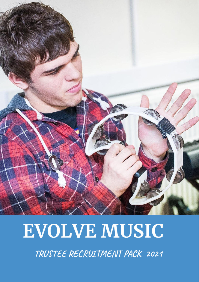

# **EVOLVE MUSIC**

TRUSTEE RECRUITMENT PACK 2021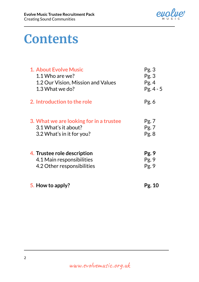

# **Contents**

| <b>1. About Evolve Music</b>            | Pg.3       |
|-----------------------------------------|------------|
| 1.1 Who are we?                         | Pg.3       |
| 1.2 Our Vision, Mission and Values      | Pg.4       |
| 1.3 What we do?                         | $Pg.4 - 5$ |
| 2. Introduction to the role             | Pg. 6      |
| 3. What we are looking for in a trustee | Pg. 7      |
| 3.1 What's it about?                    | Pg. 7      |
| 3.2 What's in it for you?               | Pg.8       |
| 4. Trustee role description             | Pg.9       |
| 4.1 Main responsibilities               | Pg.9       |
| 4.2 Other responsibilities              | Pg. 9      |
| 5. How to apply?                        | Pg. 10     |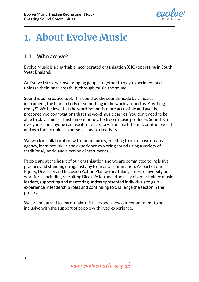

## **1. About Evolve Music**

#### **1.1 Who are we?**

Evolve Music is a charitable incorporated organisation (CIO) operating in South West England.

At Evolve Music we love bringing people together to play, experiment and unleash their inner creativity through music and sound.

Sound is our creative tool. This could be the sounds made by a musical instrument, the human body or something in the world around us. Anything really!? We believe that the word 'sound' is more accessible and avoids preconceived connotations that the word music carries. You don't need to be able to play a musical instrument or be a bedroom music producer. Sound is for everyone, and anyone can use it to tell a story, transport them to another world and as a tool to unlock a person's innate creativity.

We work in collaboration with communities, enabling them to have creative agency, learn new skills and experience exploring sound using a variety of traditional, world and electronic instruments.

People are at the heart of our organisation and we are committed to inclusive practice and standing up against any form or discrimination. As part of our Equity, Diversity and Inclusion Action Plan we are taking steps to diversify our workforce including recruiting Black, Asian and ethnically diverse trainee music leaders, supporting and mentoring underrepresented individuals to gain experience in leadership roles and continuing to challenge the sector in the process.

We are not afraid to learn, make mistakes and show our commitment to be inclusive with the support of people with lived experience.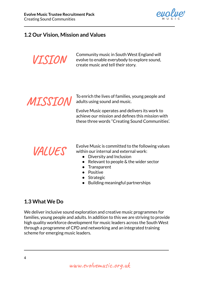

### **1.2 Our Vision, Mission and Values**



Community music in South West England will evolve to enable everybody to explore sound, create music and tell their story.



To enrich the lives of families, young people and adults using sound and music.

Evolve Music operates and delivers its work to achieve our mission and defines this mission with these three words ''Creating Sound Communities'.

### **VALUES**

Evolve Music is committed to the following values within our internal and external work:

- Diversity and Inclusion
- $\bullet$  Relevant to people & the wider sector
- Transparent
- Positive
- Strategic
- Building meaningful partnerships

### **1.3 What We Do**

We deliver inclusive sound exploration and creative music programmes for families, young people and adults. In addition to this we are striving to provide high quality workforce development for music leaders across the South West through a programme of CPD and networking and an integrated training scheme for emerging music leaders.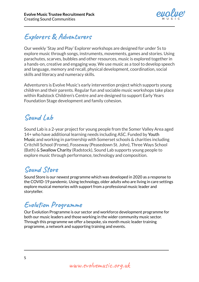

### **Explorers & Adventurers**

Our weekly 'Stay and Play' Explorer workshops are designed for under 5s to explore music through songs, instruments, movements, games and stories. Using parachutes, scarves, bubbles and other resources, music is explored together in a hands-on, creative and engaging way. We use music as a tool to develop speech and language, memory and recall, physical development, coordination, social skills and literacy and numeracy skills.

Adventurers is Evolve Music's early intervention project which supports young children and their parents. Regular fun and sociable music workshops take place within Radstock Children's Centre and are designed to support Early Years Foundation Stage development and family cohesion.

### **Sound Lab**

Sound Lab is a 2-year project for young people from the Somer Valley Area aged 14+ who have additional learning needs including ASC. Funded by Youth Music and working in partnership with Somerset schools & charities including Critchill School (Frome), Fosseway (Peasedown St. John), Three Ways School (Bath) & Swallow Charity (Radstock), Sound Lab supports young people to explore music through performance, technology and composition.

### **Sound Store**

Sound Store is our newest programme which was developed in 2020 as a response to the COVID-19 pandemic. Using technology, older adults who are living in care settings explore musical memories with support from a professional music leader and storyteller.

### **Evolution Programme**

Our Evolution Programme is our sector and workforce development programme for both our music leaders and those working in the wider community music sector. Through this programme we offer a bespoke, six month music leader training programme, a network and supporting training and events.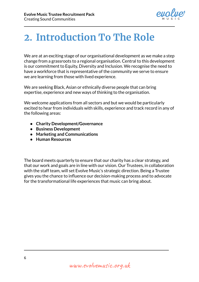

# **2. Introduction To The Role**

We are at an exciting stage of our organisational development as we make a step change from a grassroots to a regional organisation. Central to this development is our commitment to Equity, Diversity and Inclusion. We recognise the need to have a workforce that is representative of the community we serve to ensure we are learning from those with lived experience.

We are seeking Black, Asian or ethnically diverse people that can bring expertise, experience and new ways of thinking to the organisation.

We welcome applications from all sectors and but we would be particularly excited to hear from individuals with skills, experience and track record in any of the following areas:

- **● Charity Development/Governance**
- **● Business Development**
- **● Marketing and Communications**
- **● Human Resources**

The board meets quarterly to ensure that our charity has a clear strategy, and that our work and goals are in line with our vision. Our Trustees, in collaboration with the staff team, will set Evolve Music's strategic direction. Being a Trustee gives you the chance to influence our decision-making process and to advocate for the transformational life experiences that music can bring about.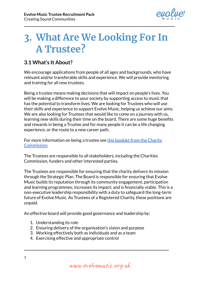

### **3. What Are We Looking For In A Trustee?**

#### **3.1 What's It About?**

We encourage applications from people of all ages and backgrounds, who have relevant and/or transferable skills and experience. We will provide mentoring and training for all new trustees.

Being a trustee means making decisions that will impact on people's lives. You will be making a difference to your society by supporting access to music that has the potential to transform lives. We are looking for Trustees who will use their skills and experience to support Evolve Music, helping us achieve our aims. We are also looking for Trustees that would like to come on a journey with us, learning new skills during their time on the board. There are some huge benefits and rewards in being a Trustee and for many people it can be a life changing experience, or the route to a new career path.

For more information on being a trustee see this [booklet](https://www.gov.uk/government/publications/the-essential-trustee-what-you-need-to-know-cc3) from the Charity [Commission.](https://www.gov.uk/government/publications/the-essential-trustee-what-you-need-to-know-cc3)

The Trustees are responsible to all stakeholders, including the Charities Commission, funders and other interested parties.

The Trustees are responsible for ensuring that the charity delivers its mission through the Strategic Plan. The Board is responsible for ensuring that Evolve Music builds its reputation through its community engagement, participation and learning programmes; increases its impact; and is financially viable. This is a non-executive leadership responsibility with a duty to safeguard the long-term future of Evolve Music. As Trustees of a Registered Charity, these positions are unpaid.

An effective board will provide good governance and leadership by:

- 1. Understanding its role
- 2. Ensuring delivery of the organisation's vision and purpose
- 3. Working effectively both as individuals and as a team
- 4. Exercising effective and appropriate control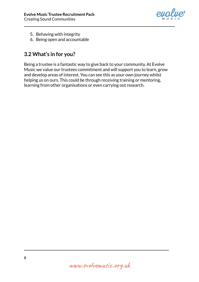

- 5. Behaving with integrity
- 6. Being open and accountable

### **3.2 What's in for you?**

Being a trustee is a fantastic way to give back to your community. At Evolve Music we value our trustees commitment and will support you to learn, grow and develop areas of interest. You can see this as your own journey whilst helping us on ours. This could be through receiving training or mentoring, learning from other organisations or even carrying out research.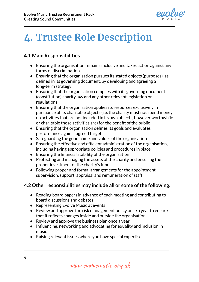

# **4. Trustee Role Description**

#### **4.1 Main Responsibilities**

- Ensuring the organisation remains inclusive and takes action against any forms of discrimination
- Ensuring that the organisation pursues its stated objects (purposes), as defined in its governing document, by developing and agreeing a long-term strategy
- Ensuring that the organisation complies with its governing document (constitution) charity law and any other relevant legislation or regulations
- Ensuring that the organisation applies its resources exclusively in pursuance of its charitable objects (i.e. the charity must not spend money on activities that are not included in its own objects, however worthwhile or charitable those activities are) for the benefit of the public
- Ensuring that the organisation defines its goals and evaluates performance against agreed targets
- Safeguarding the good name and values of the organisation
- Ensuring the effective and efficient administration of the organisation, including having appropriate policies and procedures in place
- Ensuring the financial stability of the organisation
- Protecting and managing the assets of the charity and ensuring the proper investment of the charity's funds
- Following proper and formal arrangements for the appointment, supervision, support, appraisal and remuneration of staff

#### **4.2 Other responsibilities may include all or some ofthe following:**

- Reading board papers in advance of each meeting and contributing to board discussions and debates
- Representing Evolve Music at events
- Review and approve the risk management policy once a year to ensure that it reflects changes inside and outside the organisation
- Review and approve the business plan once a year
- Influencing, networking and advocating for equality and inclusion in music
- Raising relevant issues where you have special expertise.